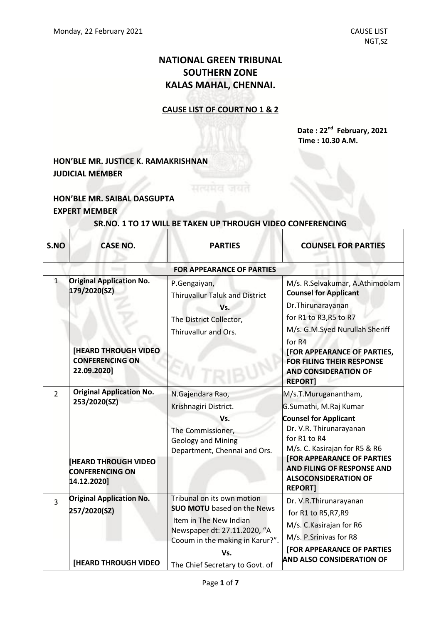# **NATIONAL GREEN TRIBUNAL SOUTHERN ZONE KALAS MAHAL, CHENNAI.**

### **CAUSE LIST OF COURT NO 1 & 2**

**Date : 22nd February, 2021 Time : 10.30 A.M.**

## **HON'BLE MR. JUSTICE K. RAMAKRISHNAN JUDICIAL MEMBER**

## **HON'BLE MR. SAIBAL DASGUPTA EXPERT MEMBER**

 $\Gamma$ 

| S.NO         | <b>CASE NO.</b>                                                                                                         | <b>PARTIES</b>                                                                                                                                                                                         | <b>COUNSEL FOR PARTIES</b>                                                                                                                                                                                                                                                      |
|--------------|-------------------------------------------------------------------------------------------------------------------------|--------------------------------------------------------------------------------------------------------------------------------------------------------------------------------------------------------|---------------------------------------------------------------------------------------------------------------------------------------------------------------------------------------------------------------------------------------------------------------------------------|
|              |                                                                                                                         | <b>FOR APPEARANCE OF PARTIES</b>                                                                                                                                                                       |                                                                                                                                                                                                                                                                                 |
| $\mathbf{1}$ | <b>Original Application No.</b><br>179/2020(SZ)<br><b>[HEARD THROUGH VIDEO</b><br><b>CONFERENCING ON</b><br>22.09.2020] | P.Gengaiyan,<br><b>Thiruvallur Taluk and District</b><br>Vs.<br>The District Collector,<br>Thiruvallur and Ors.                                                                                        | M/s. R.Selvakumar, A.Athimoolam<br><b>Counsel for Applicant</b><br>Dr. Thirunarayanan<br>for R1 to R3, R5 to R7<br>M/s. G.M.Syed Nurullah Sheriff<br>for R4<br>[FOR APPEARANCE OF PARTIES,<br><b>FOR FILING THEIR RESPONSE</b><br><b>AND CONSIDERATION OF</b><br><b>REPORTI</b> |
| 2            | <b>Original Application No.</b><br>253/2020(SZ)<br><b>IHEARD THROUGH VIDEO</b><br><b>CONFERENCING ON</b><br>14.12.2020] | N.Gajendara Rao,<br>Krishnagiri District.<br>Vs.<br>The Commissioner,<br><b>Geology and Mining</b><br>Department, Chennai and Ors.                                                                     | M/s.T.Muruganantham,<br>G.Sumathi, M.Raj Kumar<br><b>Counsel for Applicant</b><br>Dr. V.R. Thirunarayanan<br>for R1 to R4<br>M/s. C. Kasirajan for R5 & R6<br><b>[FOR APPEARANCE OF PARTIES</b><br>AND FILING OF RESPONSE AND<br><b>ALSOCONSIDERATION OF</b><br><b>REPORT1</b>  |
| 3            | <b>Original Application No.</b><br>257/2020(SZ)<br><b>[HEARD THROUGH VIDEO</b>                                          | Tribunal on its own motion<br><b>SUO MOTU</b> based on the News<br>Item in The New Indian<br>Newspaper dt: 27.11.2020, "A<br>Cooum in the making in Karur?".<br>Vs.<br>The Chief Secretary to Govt. of | Dr. V.R.Thirunarayanan<br>for R1 to R5, R7, R9<br>M/s. C. Kasirajan for R6<br>M/s. P.Srinivas for R8<br><b>[FOR APPEARANCE OF PARTIES</b><br><b>AND ALSO CONSIDERATION OF</b>                                                                                                   |

**SR.NO. 1 TO 17 WILL BE TAKEN UP THROUGH VIDEO CONFERENCING**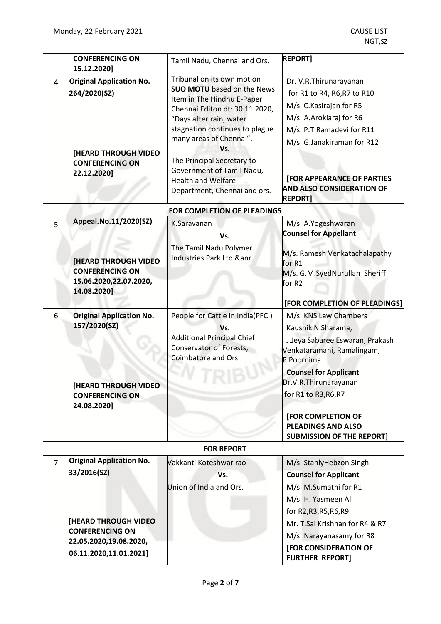|                | <b>CONFERENCING ON</b>                                                                                                                 | Tamil Nadu, Chennai and Ors.                                                                                                                                                                                                                                                                                                                           | <b>REPORT]</b>                                                                                                                                                                                                                                                 |
|----------------|----------------------------------------------------------------------------------------------------------------------------------------|--------------------------------------------------------------------------------------------------------------------------------------------------------------------------------------------------------------------------------------------------------------------------------------------------------------------------------------------------------|----------------------------------------------------------------------------------------------------------------------------------------------------------------------------------------------------------------------------------------------------------------|
| 4              | 15.12.2020]<br><b>Original Application No.</b><br>264/2020(SZ)<br><b>[HEARD THROUGH VIDEO</b><br><b>CONFERENCING ON</b><br>22.12.2020] | Tribunal on its own motion<br><b>SUO MOTU</b> based on the News<br>Item in The Hindhu E-Paper<br>Chennai Editon dt: 30.11.2020,<br>"Days after rain, water<br>stagnation continues to plague<br>many areas of Chennai".<br>Vs.<br>The Principal Secretary to<br>Government of Tamil Nadu,<br><b>Health and Welfare</b><br>Department, Chennai and ors. | Dr. V.R. Thirunarayanan<br>for R1 to R4, R6, R7 to R10<br>M/s. C. Kasirajan for R5<br>M/s. A.Arokiaraj for R6<br>M/s. P.T.Ramadevi for R11<br>M/s. G.Janakiraman for R12<br><b>[FOR APPEARANCE OF PARTIES</b><br>AND ALSO CONSIDERATION OF<br><b>REPORT]</b>   |
|                |                                                                                                                                        | FOR COMPLETION OF PLEADINGS                                                                                                                                                                                                                                                                                                                            |                                                                                                                                                                                                                                                                |
| 5              | Appeal.No.11/2020(SZ)<br><b>[HEARD THROUGH VIDEO</b><br><b>CONFERENCING ON</b><br>15.06.2020,22.07.2020,<br>14.08.2020]                | K.Saravanan<br>Vs.<br>The Tamil Nadu Polymer<br>Industries Park Ltd &anr.                                                                                                                                                                                                                                                                              | M/s. A.Yogeshwaran<br><b>Counsel for Appellant</b><br>M/s. Ramesh Venkatachalapathy<br>for R1<br>M/s. G.M.SyedNurullah Sheriff<br>for R2<br>[FOR COMPLETION OF PLEADINGS]                                                                                      |
| 6              | <b>Original Application No.</b><br>157/2020(SZ)<br><b>[HEARD THROUGH VIDEO</b><br><b>CONFERENCING ON</b><br>24.08.2020]                | People for Cattle in India(PFCI)<br>Vs.<br><b>Additional Principal Chief</b><br><b>Conservator of Forests,</b><br>Coimbatore and Ors.                                                                                                                                                                                                                  | M/s. KNS Law Chambers<br>Kaushik N Sharama,<br>J.Jeya Sabaree Eswaran, Prakash<br>Venkataramani, Ramalingam,<br>P.Poornima<br><b>Counsel for Applicant</b><br>Dr.V.R.Thirunarayanan<br>for R1 to R3, R6, R7<br>[FOR COMPLETION OF<br><b>PLEADINGS AND ALSO</b> |
|                |                                                                                                                                        |                                                                                                                                                                                                                                                                                                                                                        | <b>SUBMISSION OF THE REPORT]</b>                                                                                                                                                                                                                               |
|                |                                                                                                                                        | <b>FOR REPORT</b>                                                                                                                                                                                                                                                                                                                                      |                                                                                                                                                                                                                                                                |
| $\overline{7}$ | <b>Original Application No.</b><br>33/2016(SZ)                                                                                         | Vakkanti Koteshwar rao<br>Vs.<br>Union of India and Ors.                                                                                                                                                                                                                                                                                               | M/s. StanlyHebzon Singh<br><b>Counsel for Applicant</b><br>M/s. M.Sumathi for R1<br>M/s. H. Yasmeen Ali<br>for R2, R3, R5, R6, R9                                                                                                                              |
|                | <b>HEARD THROUGH VIDEO</b><br><b>CONFERENCING ON</b>                                                                                   |                                                                                                                                                                                                                                                                                                                                                        | Mr. T.Sai Krishnan for R4 & R7                                                                                                                                                                                                                                 |
|                | 22.05.2020,19.08.2020,                                                                                                                 |                                                                                                                                                                                                                                                                                                                                                        | M/s. Narayanasamy for R8                                                                                                                                                                                                                                       |
|                | 06.11.2020,11.01.2021]                                                                                                                 |                                                                                                                                                                                                                                                                                                                                                        | [FOR CONSIDERATION OF<br><b>FURTHER REPORT]</b>                                                                                                                                                                                                                |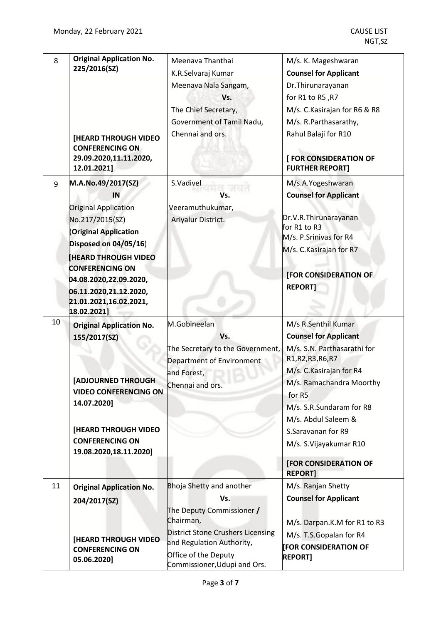| 8  | <b>Original Application No.</b>                                 | Meenava Thanthai                                     | M/s. K. Mageshwaran                              |
|----|-----------------------------------------------------------------|------------------------------------------------------|--------------------------------------------------|
|    | 225/2016(SZ)                                                    | K.R.Selvaraj Kumar                                   | <b>Counsel for Applicant</b>                     |
|    |                                                                 | Meenava Nala Sangam,                                 | Dr. Thirunarayanan                               |
|    |                                                                 | Vs.                                                  | for R1 to R5, R7                                 |
|    |                                                                 | The Chief Secretary,                                 | M/s. C. Kasirajan for R6 & R8                    |
|    |                                                                 | Government of Tamil Nadu,                            | M/s. R.Parthasarathy,                            |
|    | <b>[HEARD THROUGH VIDEO</b>                                     | Chennai and ors.                                     | Rahul Balaji for R10                             |
|    | <b>CONFERENCING ON</b><br>29.09.2020,11.11.2020,<br>12.01.2021] |                                                      | [ FOR CONSIDERATION OF<br><b>FURTHER REPORT]</b> |
|    |                                                                 |                                                      |                                                  |
| 9  | M.A.No.49/2017(SZ)                                              | S.Vadivel                                            | M/s.A.Yogeshwaran                                |
|    | IN                                                              | Vs.                                                  | <b>Counsel for Applicant</b>                     |
|    | <b>Original Application</b>                                     | Veeramuthukumar,                                     |                                                  |
|    | No.217/2015(SZ)                                                 | Ariyalur District.                                   | Dr.V.R.Thirunarayanan<br>for R1 to R3            |
|    | <b>(Original Application</b>                                    |                                                      | M/s. P.Srinivas for R4                           |
|    | Disposed on 04/05/16)                                           |                                                      | M/s. C. Kasirajan for R7                         |
|    | <b>HEARD THROUGH VIDEO</b>                                      |                                                      |                                                  |
|    | <b>CONFERENCING ON</b>                                          |                                                      | [FOR CONSIDERATION OF                            |
|    | 04.08.2020,22.09.2020,                                          |                                                      | <b>REPORT]</b>                                   |
|    | 06.11.2020,21.12.2020,<br>21.01.2021,16.02.2021,<br>18.02.2021] |                                                      |                                                  |
| 10 | <b>Original Application No.</b>                                 | M.Gobineelan                                         | M/s R.Senthil Kumar                              |
|    | 155/2017(SZ)                                                    | Vs.                                                  | <b>Counsel for Applicant</b>                     |
|    |                                                                 | The Secretary to the Government,                     | M/s. S.N. Parthasarathi for                      |
|    |                                                                 | Department of Environment                            | R1, R2, R3, R6, R7                               |
|    |                                                                 | and Forest,                                          | M/s. C. Kasirajan for R4                         |
|    | <b>[ADJOURNED THROUGH</b>                                       | Chennai and ors.                                     | M/s. Ramachandra Moorthy                         |
|    | <b>VIDEO CONFERENCING ON</b>                                    |                                                      | for R5                                           |
|    | 14.07.2020]                                                     |                                                      | M/s. S.R.Sundaram for R8                         |
|    |                                                                 |                                                      | M/s. Abdul Saleem &                              |
|    | [HEARD THROUGH VIDEO                                            |                                                      | S.Saravanan for R9                               |
|    | <b>CONFERENCING ON</b>                                          |                                                      | M/s. S. Vijayakumar R10                          |
|    | 19.08.2020,18.11.2020]                                          |                                                      |                                                  |
|    |                                                                 |                                                      | <b>[FOR CONSIDERATION OF</b><br><b>REPORT]</b>   |
| 11 | <b>Original Application No.</b>                                 | Bhoja Shetty and another                             | M/s. Ranjan Shetty                               |
|    | 204/2017(SZ)                                                    | Vs.                                                  | <b>Counsel for Applicant</b>                     |
|    |                                                                 | The Deputy Commissioner /                            |                                                  |
|    |                                                                 | Chairman,                                            | M/s. Darpan.K.M for R1 to R3                     |
|    |                                                                 | <b>District Stone Crushers Licensing</b>             | M/s. T.S.Gopalan for R4                          |
|    | <b>[HEARD THROUGH VIDEO</b><br><b>CONFERENCING ON</b>           | and Regulation Authority,                            | <b>[FOR CONSIDERATION OF</b>                     |
|    | 05.06.2020]                                                     | Office of the Deputy<br>Commissioner, Udupi and Ors. | <b>REPORT]</b>                                   |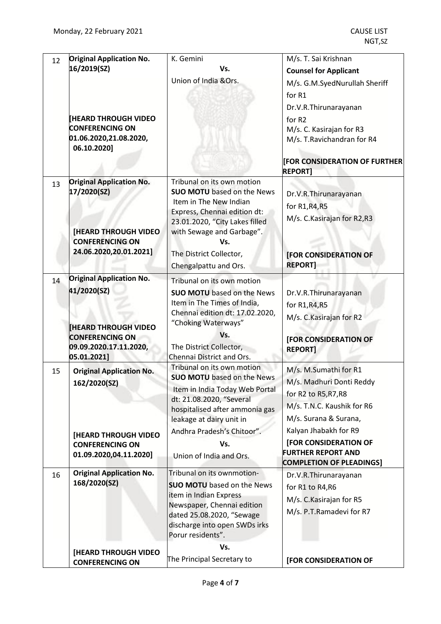| 12 | <b>Original Application No.</b><br>16/2019(SZ)                                                                                    | K. Gemini<br>Vs.                                                                                                                                                                                                                                    | M/s. T. Sai Krishnan<br><b>Counsel for Applicant</b>                                                                             |
|----|-----------------------------------------------------------------------------------------------------------------------------------|-----------------------------------------------------------------------------------------------------------------------------------------------------------------------------------------------------------------------------------------------------|----------------------------------------------------------------------------------------------------------------------------------|
|    |                                                                                                                                   | Union of India & Ors.                                                                                                                                                                                                                               | M/s. G.M.SyedNurullah Sheriff<br>for R1                                                                                          |
|    |                                                                                                                                   |                                                                                                                                                                                                                                                     | Dr.V.R.Thirunarayanan                                                                                                            |
|    | <b>[HEARD THROUGH VIDEO</b><br><b>CONFERENCING ON</b><br>01.06.2020,21.08.2020,<br>06.10.2020]                                    |                                                                                                                                                                                                                                                     | for R <sub>2</sub><br>M/s. C. Kasirajan for R3<br>M/s. T. Ravichandran for R4                                                    |
|    |                                                                                                                                   |                                                                                                                                                                                                                                                     | <b>[FOR CONSIDERATION OF FURTHER]</b><br><b>REPORT1</b>                                                                          |
| 13 | <b>Original Application No.</b><br>17/2020(SZ)<br><b>[HEARD THROUGH VIDEO</b><br><b>CONFERENCING ON</b><br>24.06.2020,20.01.2021] | Tribunal on its own motion<br><b>SUO MOTU</b> based on the News<br>Item in The New Indian<br>Express, Chennai edition dt:<br>23.01.2020, "City Lakes filled<br>with Sewage and Garbage".<br>Vs.<br>The District Collector,<br>Chengalpattu and Ors. | Dr.V.R.Thirunarayanan<br>for R1, R4, R5<br>M/s. C. Kasirajan for R2, R3<br>[FOR CONSIDERATION OF<br><b>REPORT1</b>               |
| 14 | <b>Original Application No.</b>                                                                                                   | Tribunal on its own motion                                                                                                                                                                                                                          |                                                                                                                                  |
|    | 41/2020(SZ)<br><b>HEARD THROUGH VIDEO</b>                                                                                         | <b>SUO MOTU</b> based on the News<br>Item in The Times of India,<br>Chennai edition dt: 17.02.2020,<br>"Choking Waterways"                                                                                                                          | Dr.V.R.Thirunarayanan<br>for R1, R4, R5<br>M/s. C. Kasirajan for R2                                                              |
|    | <b>CONFERENCING ON</b><br>09.09.2020.17.11.2020,<br>05.01.2021]                                                                   | Vs.<br>The District Collector,<br>Chennai District and Ors.                                                                                                                                                                                         | <b>[FOR CONSIDERATION OF</b><br><b>REPORT]</b>                                                                                   |
| 15 | <b>Original Application No.</b><br>162/2020(SZ)                                                                                   | Tribunal on its own motion<br><b>SUO MOTU</b> based on the News<br>Item in India Today Web Portal<br>dt: 21.08.2020, "Several<br>hospitalised after ammonia gas<br>leakage at dairy unit in                                                         | M/s. M.Sumathi for R1<br>M/s. Madhuri Donti Reddy<br>for R2 to R5, R7, R8<br>M/s. T.N.C. Kaushik for R6<br>M/s. Surana & Surana, |
|    | <b>[HEARD THROUGH VIDEO</b><br><b>CONFERENCING ON</b><br>01.09.2020,04.11.2020]                                                   | Andhra Pradesh's Chitoor".<br>Vs.<br>Union of India and Ors.                                                                                                                                                                                        | Kalyan Jhabakh for R9<br>[FOR CONSIDERATION OF<br><b>FURTHER REPORT AND</b>                                                      |
| 16 | <b>Original Application No.</b>                                                                                                   | Tribunal on its ownmotion-                                                                                                                                                                                                                          | <b>COMPLETION OF PLEADINGS]</b><br>Dr.V.R.Thirunarayanan                                                                         |
|    | 168/2020(SZ)                                                                                                                      | <b>SUO MOTU</b> based on the News<br>item in Indian Express<br>Newspaper, Chennai edition<br>dated 25.08.2020, "Sewage<br>discharge into open SWDs irks<br>Porur residents".                                                                        | for R1 to R4, R6<br>M/s. C. Kasirajan for R5<br>M/s. P.T.Ramadevi for R7                                                         |
|    | [HEARD THROUGH VIDEO<br><b>CONFERENCING ON</b>                                                                                    | Vs.<br>The Principal Secretary to                                                                                                                                                                                                                   | [FOR CONSIDERATION OF                                                                                                            |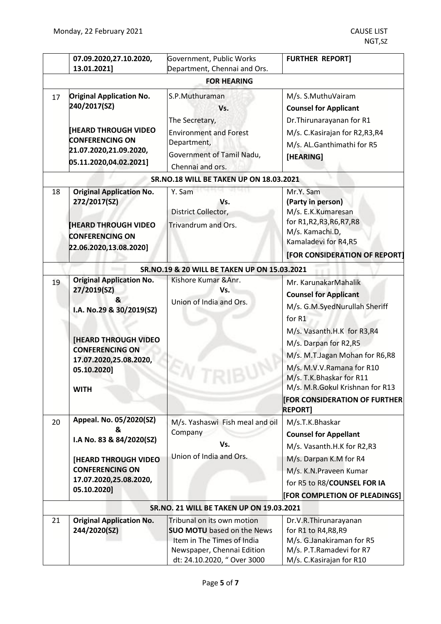|    | 07.09.2020,27.10.2020,                           | Government, Public Works                           | <b>FURTHER REPORT]</b>                  |
|----|--------------------------------------------------|----------------------------------------------------|-----------------------------------------|
|    | 13.01.2021]                                      | Department, Chennai and Ors.<br><b>FOR HEARING</b> |                                         |
|    |                                                  |                                                    |                                         |
| 17 | <b>Original Application No.</b><br>240/2017(SZ)  | S.P.Muthuraman                                     | M/s. S.MuthuVairam                      |
|    |                                                  | Vs.                                                | <b>Counsel for Applicant</b>            |
|    |                                                  | The Secretary,                                     | Dr. Thirunarayanan for R1               |
|    | <b>[HEARD THROUGH VIDEO</b>                      | <b>Environment and Forest</b>                      | M/s. C. Kasirajan for R2, R3, R4        |
|    | <b>CONFERENCING ON</b><br>21.07.2020,21.09.2020, | Department,                                        | M/s. AL.Ganthimathi for R5              |
|    | 05.11.2020,04.02.2021]                           | Government of Tamil Nadu,                          | [HEARING]                               |
|    |                                                  | Chennai and ors.                                   |                                         |
|    |                                                  | <b>SR.NO.18 WILL BE TAKEN UP ON 18.03.2021</b>     |                                         |
| 18 | <b>Original Application No.</b>                  | Y. Sam                                             | Mr.Y. Sam                               |
|    | 272/2017(SZ)                                     | Vs.                                                | (Party in person)                       |
|    |                                                  | District Collector,                                | M/s. E.K.Kumaresan                      |
|    | <b>[HEARD THROUGH VIDEO</b>                      | Trivandrum and Ors.                                | for R1, R2, R3, R6, R7, R8              |
|    | <b>CONFERENCING ON</b>                           |                                                    | M/s. Kamachi.D,<br>Kamaladevi for R4,R5 |
|    | 22.06.2020,13.08.2020]                           |                                                    |                                         |
|    |                                                  |                                                    | [FOR CONSIDERATION OF REPORT]           |
|    |                                                  | SR.NO.19 & 20 WILL BE TAKEN UP ON 15.03.2021       |                                         |
| 19 | <b>Original Application No.</b>                  | Kishore Kumar & Anr.                               | Mr. KarunakarMahalik                    |
|    | 27/2019(SZ)                                      | Vs.                                                | <b>Counsel for Applicant</b>            |
|    | &<br>I.A. No.29 & 30/2019(SZ)                    | Union of India and Ors.                            | M/s. G.M.SyedNurullah Sheriff           |
|    |                                                  |                                                    | for R1                                  |
|    |                                                  |                                                    | M/s. Vasanth.H.K for R3,R4              |
|    | <b>[HEARD THROUGH VIDEO</b>                      |                                                    | M/s. Darpan for R2,R5                   |
|    | <b>CONFERENCING ON</b>                           |                                                    | M/s. M.T.Jagan Mohan for R6,R8          |
|    | 17.07.2020,25.08.2020,                           |                                                    | M/s. M.V.V.Ramana for R10               |
|    | 05.10.2020]                                      |                                                    | M/s. T.K.Bhaskar for R11                |
|    | <b>WITH</b>                                      |                                                    | M/s. M.R.Gokul Krishnan for R13         |
|    |                                                  |                                                    | <b>FOR CONSIDERATION OF FURTHER</b>     |
|    |                                                  |                                                    | <b>REPORT]</b>                          |
| 20 | Appeal. No. 05/2020(SZ)                          | M/s. Yashaswi Fish meal and oil                    | M/s.T.K.Bhaskar                         |
|    | &                                                | Company                                            | <b>Counsel for Appellant</b>            |
|    | I.A No. 83 & 84/2020(SZ)                         | Vs.                                                | M/s. Vasanth.H.K for R2,R3              |
|    | <b>[HEARD THROUGH VIDEO</b>                      | Union of India and Ors.                            | M/s. Darpan K.M for R4                  |
|    | <b>CONFERENCING ON</b>                           |                                                    | M/s. K.N.Praveen Kumar                  |
|    | 17.07.2020,25.08.2020,                           |                                                    | for R5 to R8/COUNSEL FOR IA             |
|    | 05.10.2020]                                      |                                                    | [FOR COMPLETION OF PLEADINGS]           |
|    |                                                  | SR.NO. 21 WILL BE TAKEN UP ON 19.03.2021           |                                         |
| 21 | <b>Original Application No.</b>                  | Tribunal on its own motion                         | Dr.V.R.Thirunarayanan                   |
|    | 244/2020(SZ)                                     | <b>SUO MOTU</b> based on the News                  | for R1 to R4, R8, R9                    |
|    |                                                  | Item in The Times of India                         | M/s. G.Janakiraman for R5               |
|    |                                                  | Newspaper, Chennai Edition                         | M/s. P.T.Ramadevi for R7                |
|    |                                                  | dt: 24.10.2020, " Over 3000                        | M/s. C. Kasirajan for R10               |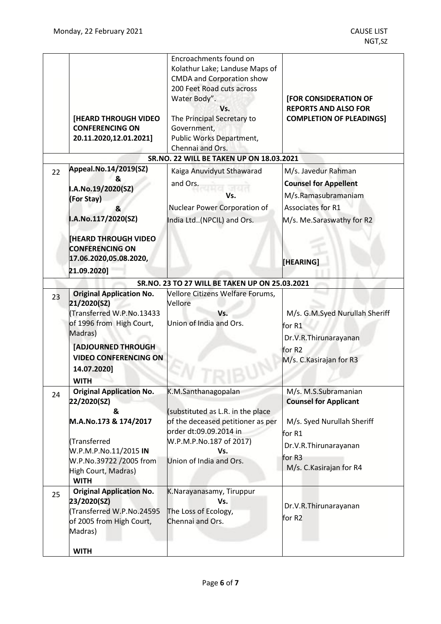|    | [HEARD THROUGH VIDEO<br><b>CONFERENCING ON</b><br>20.11.2020,12.01.2021]                                                                                                                                      | Encroachments found on<br>Kolathur Lake; Landuse Maps of<br>CMDA and Corporation show<br>200 Feet Road cuts across<br>Water Body".<br>Vs.<br>The Principal Secretary to<br>Government,<br>Public Works Department,<br>Chennai and Ors.<br><b>SR.NO. 22 WILL BE TAKEN UP ON 18.03.2021</b> | <b>[FOR CONSIDERATION OF</b><br><b>REPORTS AND ALSO FOR</b><br><b>COMPLETION OF PLEADINGS]</b>                                                              |
|----|---------------------------------------------------------------------------------------------------------------------------------------------------------------------------------------------------------------|-------------------------------------------------------------------------------------------------------------------------------------------------------------------------------------------------------------------------------------------------------------------------------------------|-------------------------------------------------------------------------------------------------------------------------------------------------------------|
| 22 | Appeal.No.14/2019(SZ)<br>&<br>I.A.No.19/2020(SZ)<br>(For Stay)<br>δ.<br>I.A.No.117/2020(SZ)<br><b>HEARD THROUGH VIDEO</b><br><b>CONFERENCING ON</b><br>17.06.2020,05.08.2020,<br>21.09.2020]                  | Kaiga Anuvidyut Sthawarad<br>and Ors.<br>Vs.<br>Nuclear Power Corporation of<br>India Ltd. (NPCIL) and Ors.                                                                                                                                                                               | M/s. Javedur Rahman<br><b>Counsel for Appellent</b><br>M/s.Ramasubramaniam<br>Associates for R1<br>M/s. Me.Saraswathy for R2<br>[HEARING]                   |
|    |                                                                                                                                                                                                               | SR.NO. 23 TO 27 WILL BE TAKEN UP ON 25.03.2021                                                                                                                                                                                                                                            |                                                                                                                                                             |
| 23 | <b>Original Application No.</b><br>21/2020(SZ)<br>(Transferred W.P.No.13433<br>of 1996 from High Court,<br>Madras)<br><b>[ADJOURNED THROUGH</b><br><b>VIDEO CONFERENCING ON</b><br>14.07.2020]<br><b>WITH</b> | Vellore Citizens Welfare Forums,<br>Vellore<br>Vs.<br>Union of India and Ors.                                                                                                                                                                                                             | M/s. G.M.Syed Nurullah Sheriff<br>for R1<br>Dr.V.R.Thirunarayanan<br>for R2<br>M/s. C. Kasirajan for R3                                                     |
| 24 | <b>Original Application No.</b><br>22/2020(SZ)<br>&<br>M.A.No.173 & 174/2017<br>Transferred<br>W.P.M.P.No.11/2015 IN<br>W.P.No.39722 /2005 from<br>High Court, Madras)<br><b>WITH</b>                         | K.M.Santhanagopalan<br>(substituted as L.R. in the place<br>of the deceased petitioner as per<br>order dt:09.09.2014 in<br>W.P.M.P.No.187 of 2017)<br>Vs.<br>Union of India and Ors.                                                                                                      | M/s. M.S.Subramanian<br><b>Counsel for Applicant</b><br>M/s. Syed Nurullah Sheriff<br>for R1<br>Dr.V.R.Thirunarayanan<br>for R3<br>M/s. C. Kasirajan for R4 |
| 25 | <b>Original Application No.</b><br>23/2020(SZ)<br>Transferred W.P.No.24595<br>of 2005 from High Court,<br>Madras)<br><b>WITH</b>                                                                              | K.Narayanasamy, Tiruppur<br>Vs.<br>The Loss of Ecology,<br>Chennai and Ors.                                                                                                                                                                                                               | Dr.V.R.Thirunarayanan<br>for R2                                                                                                                             |